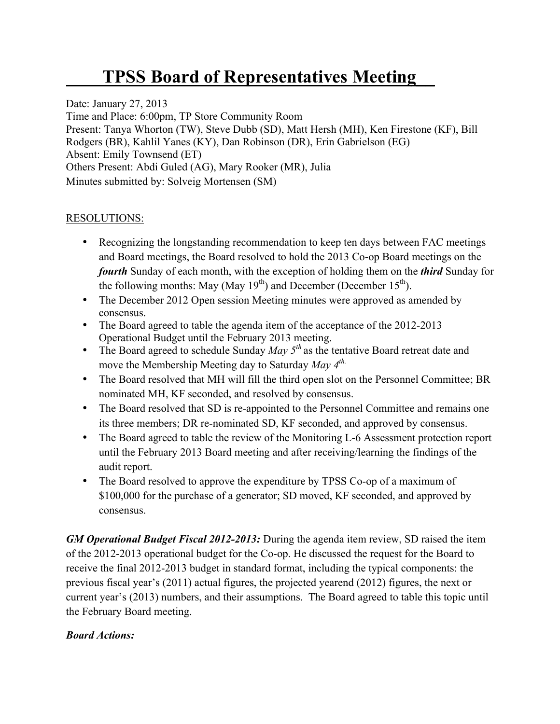## **TPSS Board of Representatives Meeting\_\_**

Date: January 27, 2013 Time and Place: 6:00pm, TP Store Community Room Present: Tanya Whorton (TW), Steve Dubb (SD), Matt Hersh (MH), Ken Firestone (KF), Bill Rodgers (BR), Kahlil Yanes (KY), Dan Robinson (DR), Erin Gabrielson (EG) Absent: Emily Townsend (ET) Others Present: Abdi Guled (AG), Mary Rooker (MR), Julia Minutes submitted by: Solveig Mortensen (SM)

## RESOLUTIONS:

- Recognizing the longstanding recommendation to keep ten days between FAC meetings and Board meetings, the Board resolved to hold the 2013 Co-op Board meetings on the *fourth* Sunday of each month, with the exception of holding them on the *third* Sunday for the following months: May (May  $19<sup>th</sup>$ ) and December (December  $15<sup>th</sup>$ ).
- The December 2012 Open session Meeting minutes were approved as amended by consensus.
- The Board agreed to table the agenda item of the acceptance of the 2012-2013 Operational Budget until the February 2013 meeting.
- The Board agreed to schedule Sunday *May 5<sup>th</sup>* as the tentative Board retreat date and move the Membership Meeting day to Saturday *May 4th.*
- The Board resolved that MH will fill the third open slot on the Personnel Committee; BR nominated MH, KF seconded, and resolved by consensus.
- The Board resolved that SD is re-appointed to the Personnel Committee and remains one its three members; DR re-nominated SD, KF seconded, and approved by consensus.
- The Board agreed to table the review of the Monitoring L-6 Assessment protection report until the February 2013 Board meeting and after receiving/learning the findings of the audit report.
- The Board resolved to approve the expenditure by TPSS Co-op of a maximum of \$100,000 for the purchase of a generator; SD moved, KF seconded, and approved by consensus.

*GM Operational Budget Fiscal 2012-2013:* During the agenda item review, SD raised the item of the 2012-2013 operational budget for the Co-op. He discussed the request for the Board to receive the final 2012-2013 budget in standard format, including the typical components: the previous fiscal year's (2011) actual figures, the projected yearend (2012) figures, the next or current year's (2013) numbers, and their assumptions. The Board agreed to table this topic until the February Board meeting.

## *Board Actions:*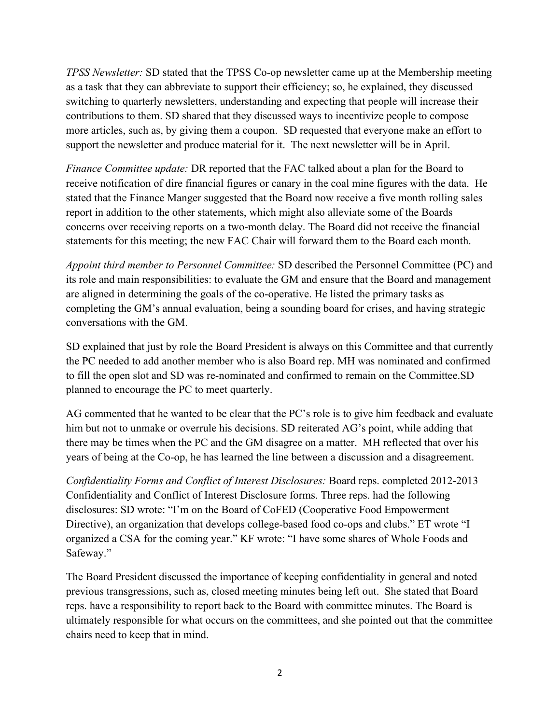*TPSS Newsletter:* SD stated that the TPSS Co-op newsletter came up at the Membership meeting as a task that they can abbreviate to support their efficiency; so, he explained, they discussed switching to quarterly newsletters, understanding and expecting that people will increase their contributions to them. SD shared that they discussed ways to incentivize people to compose more articles, such as, by giving them a coupon. SD requested that everyone make an effort to support the newsletter and produce material for it. The next newsletter will be in April.

*Finance Committee update:* DR reported that the FAC talked about a plan for the Board to receive notification of dire financial figures or canary in the coal mine figures with the data. He stated that the Finance Manger suggested that the Board now receive a five month rolling sales report in addition to the other statements, which might also alleviate some of the Boards concerns over receiving reports on a two-month delay. The Board did not receive the financial statements for this meeting; the new FAC Chair will forward them to the Board each month.

*Appoint third member to Personnel Committee:* SD described the Personnel Committee (PC) and its role and main responsibilities: to evaluate the GM and ensure that the Board and management are aligned in determining the goals of the co-operative. He listed the primary tasks as completing the GM's annual evaluation, being a sounding board for crises, and having strategic conversations with the GM.

SD explained that just by role the Board President is always on this Committee and that currently the PC needed to add another member who is also Board rep. MH was nominated and confirmed to fill the open slot and SD was re-nominated and confirmed to remain on the Committee.SD planned to encourage the PC to meet quarterly.

AG commented that he wanted to be clear that the PC's role is to give him feedback and evaluate him but not to unmake or overrule his decisions. SD reiterated AG's point, while adding that there may be times when the PC and the GM disagree on a matter. MH reflected that over his years of being at the Co-op, he has learned the line between a discussion and a disagreement.

*Confidentiality Forms and Conflict of Interest Disclosures:* Board reps. completed 2012-2013 Confidentiality and Conflict of Interest Disclosure forms. Three reps. had the following disclosures: SD wrote: "I'm on the Board of CoFED (Cooperative Food Empowerment Directive), an organization that develops college-based food co-ops and clubs." ET wrote "I organized a CSA for the coming year." KF wrote: "I have some shares of Whole Foods and Safeway."

The Board President discussed the importance of keeping confidentiality in general and noted previous transgressions, such as, closed meeting minutes being left out. She stated that Board reps. have a responsibility to report back to the Board with committee minutes. The Board is ultimately responsible for what occurs on the committees, and she pointed out that the committee chairs need to keep that in mind.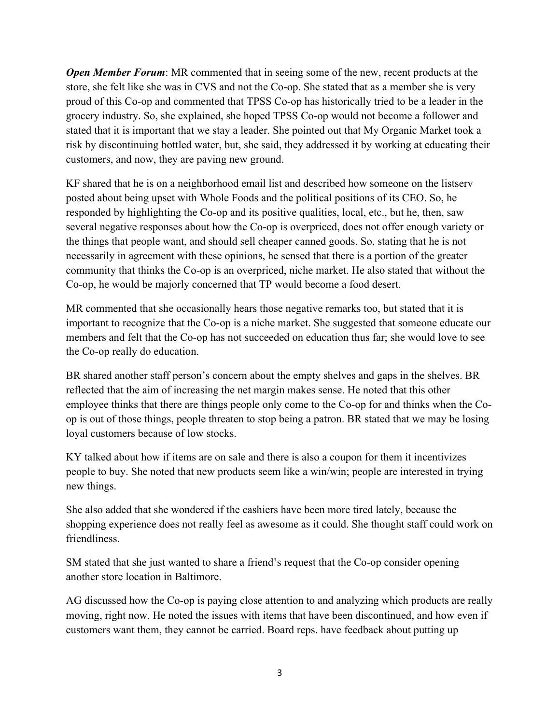*Open Member Forum:* MR commented that in seeing some of the new, recent products at the store, she felt like she was in CVS and not the Co-op. She stated that as a member she is very proud of this Co-op and commented that TPSS Co-op has historically tried to be a leader in the grocery industry. So, she explained, she hoped TPSS Co-op would not become a follower and stated that it is important that we stay a leader. She pointed out that My Organic Market took a risk by discontinuing bottled water, but, she said, they addressed it by working at educating their customers, and now, they are paving new ground.

KF shared that he is on a neighborhood email list and described how someone on the listserv posted about being upset with Whole Foods and the political positions of its CEO. So, he responded by highlighting the Co-op and its positive qualities, local, etc., but he, then, saw several negative responses about how the Co-op is overpriced, does not offer enough variety or the things that people want, and should sell cheaper canned goods. So, stating that he is not necessarily in agreement with these opinions, he sensed that there is a portion of the greater community that thinks the Co-op is an overpriced, niche market. He also stated that without the Co-op, he would be majorly concerned that TP would become a food desert.

MR commented that she occasionally hears those negative remarks too, but stated that it is important to recognize that the Co-op is a niche market. She suggested that someone educate our members and felt that the Co-op has not succeeded on education thus far; she would love to see the Co-op really do education.

BR shared another staff person's concern about the empty shelves and gaps in the shelves. BR reflected that the aim of increasing the net margin makes sense. He noted that this other employee thinks that there are things people only come to the Co-op for and thinks when the Coop is out of those things, people threaten to stop being a patron. BR stated that we may be losing loyal customers because of low stocks.

KY talked about how if items are on sale and there is also a coupon for them it incentivizes people to buy. She noted that new products seem like a win/win; people are interested in trying new things.

She also added that she wondered if the cashiers have been more tired lately, because the shopping experience does not really feel as awesome as it could. She thought staff could work on friendliness.

SM stated that she just wanted to share a friend's request that the Co-op consider opening another store location in Baltimore.

AG discussed how the Co-op is paying close attention to and analyzing which products are really moving, right now. He noted the issues with items that have been discontinued, and how even if customers want them, they cannot be carried. Board reps. have feedback about putting up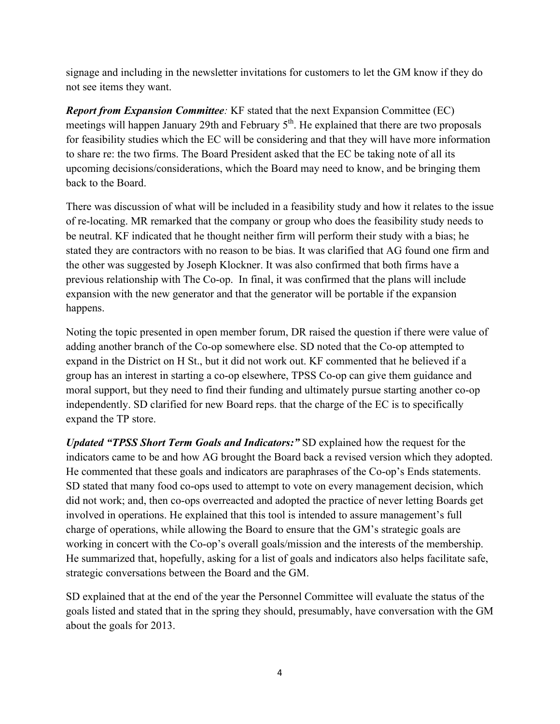signage and including in the newsletter invitations for customers to let the GM know if they do not see items they want.

*Report from Expansion Committee:* KF stated that the next Expansion Committee (EC) meetings will happen January 29th and February  $5<sup>th</sup>$ . He explained that there are two proposals for feasibility studies which the EC will be considering and that they will have more information to share re: the two firms. The Board President asked that the EC be taking note of all its upcoming decisions/considerations, which the Board may need to know, and be bringing them back to the Board.

There was discussion of what will be included in a feasibility study and how it relates to the issue of re-locating. MR remarked that the company or group who does the feasibility study needs to be neutral. KF indicated that he thought neither firm will perform their study with a bias; he stated they are contractors with no reason to be bias. It was clarified that AG found one firm and the other was suggested by Joseph Klockner. It was also confirmed that both firms have a previous relationship with The Co-op. In final, it was confirmed that the plans will include expansion with the new generator and that the generator will be portable if the expansion happens.

Noting the topic presented in open member forum, DR raised the question if there were value of adding another branch of the Co-op somewhere else. SD noted that the Co-op attempted to expand in the District on H St., but it did not work out. KF commented that he believed if a group has an interest in starting a co-op elsewhere, TPSS Co-op can give them guidance and moral support, but they need to find their funding and ultimately pursue starting another co-op independently. SD clarified for new Board reps. that the charge of the EC is to specifically expand the TP store.

*Updated "TPSS Short Term Goals and Indicators:"* SD explained how the request for the indicators came to be and how AG brought the Board back a revised version which they adopted. He commented that these goals and indicators are paraphrases of the Co-op's Ends statements. SD stated that many food co-ops used to attempt to vote on every management decision, which did not work; and, then co-ops overreacted and adopted the practice of never letting Boards get involved in operations. He explained that this tool is intended to assure management's full charge of operations, while allowing the Board to ensure that the GM's strategic goals are working in concert with the Co-op's overall goals/mission and the interests of the membership. He summarized that, hopefully, asking for a list of goals and indicators also helps facilitate safe, strategic conversations between the Board and the GM.

SD explained that at the end of the year the Personnel Committee will evaluate the status of the goals listed and stated that in the spring they should, presumably, have conversation with the GM about the goals for 2013.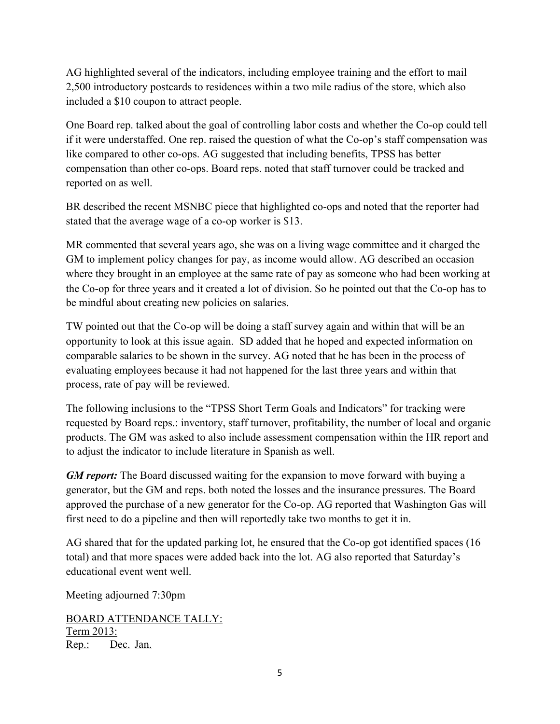AG highlighted several of the indicators, including employee training and the effort to mail 2,500 introductory postcards to residences within a two mile radius of the store, which also included a \$10 coupon to attract people.

One Board rep. talked about the goal of controlling labor costs and whether the Co-op could tell if it were understaffed. One rep. raised the question of what the Co-op's staff compensation was like compared to other co-ops. AG suggested that including benefits, TPSS has better compensation than other co-ops. Board reps. noted that staff turnover could be tracked and reported on as well.

BR described the recent MSNBC piece that highlighted co-ops and noted that the reporter had stated that the average wage of a co-op worker is \$13.

MR commented that several years ago, she was on a living wage committee and it charged the GM to implement policy changes for pay, as income would allow. AG described an occasion where they brought in an employee at the same rate of pay as someone who had been working at the Co-op for three years and it created a lot of division. So he pointed out that the Co-op has to be mindful about creating new policies on salaries.

TW pointed out that the Co-op will be doing a staff survey again and within that will be an opportunity to look at this issue again. SD added that he hoped and expected information on comparable salaries to be shown in the survey. AG noted that he has been in the process of evaluating employees because it had not happened for the last three years and within that process, rate of pay will be reviewed.

The following inclusions to the "TPSS Short Term Goals and Indicators" for tracking were requested by Board reps.: inventory, staff turnover, profitability, the number of local and organic products. The GM was asked to also include assessment compensation within the HR report and to adjust the indicator to include literature in Spanish as well.

*GM report:* The Board discussed waiting for the expansion to move forward with buying a generator, but the GM and reps. both noted the losses and the insurance pressures. The Board approved the purchase of a new generator for the Co-op. AG reported that Washington Gas will first need to do a pipeline and then will reportedly take two months to get it in.

AG shared that for the updated parking lot, he ensured that the Co-op got identified spaces (16 total) and that more spaces were added back into the lot. AG also reported that Saturday's educational event went well.

Meeting adjourned 7:30pm

BOARD ATTENDANCE TALLY: Term 2013: Rep.: Dec. Jan.